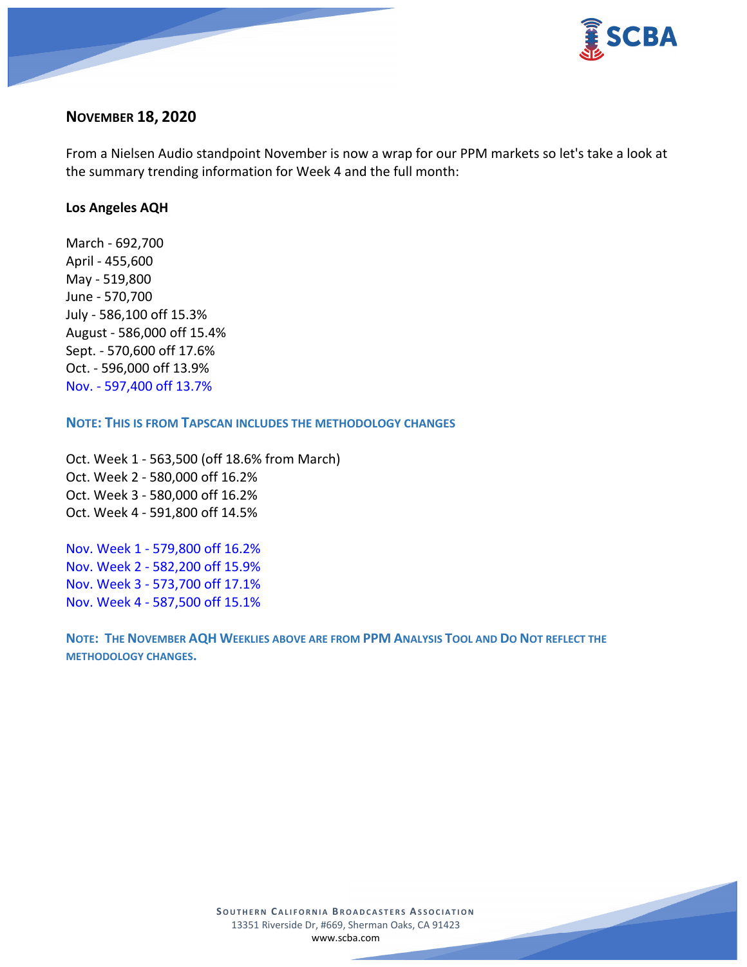

## **NOVEMBER 18, 2020**

From a Nielsen Audio standpoint November is now a wrap for our PPM markets so let's take a look at the summary trending information for Week 4 and the full month:

### **Los Angeles AQH**

March - 692,700 April - 455,600 May - 519,800 June - 570,700 July - 586,100 off 15.3% August - 586,000 off 15.4% Sept. - 570,600 off 17.6% Oct. - 596,000 off 13.9% Nov. - 597,400 off 13.7%

#### **NOTE: THIS IS FROM TAPSCAN INCLUDES THE METHODOLOGY CHANGES**

Oct. Week 1 - 563,500 (off 18.6% from March) Oct. Week 2 - 580,000 off 16.2% Oct. Week 3 - 580,000 off 16.2% Oct. Week 4 - 591,800 off 14.5%

Nov. Week 1 - 579,800 off 16.2% Nov. Week 2 - 582,200 off 15.9% Nov. Week 3 - 573,700 off 17.1% Nov. Week 4 - 587,500 off 15.1%

**NOTE: THE NOVEMBER AQH WEEKLIES ABOVE ARE FROM PPM ANALYSIS TOOL AND DO NOT REFLECT THE METHODOLOGY CHANGES.**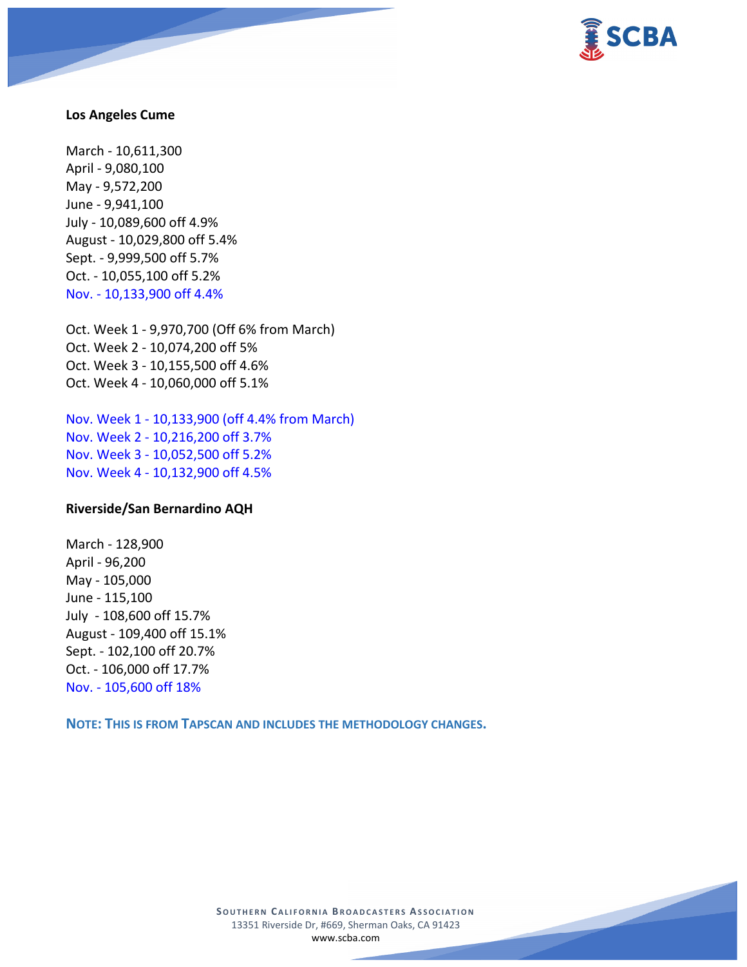

#### **Los Angeles Cume**

March - 10,611,300 April - 9,080,100 May - 9,572,200 June - 9,941,100 July - 10,089,600 off 4.9% August - 10,029,800 off 5.4% Sept. - 9,999,500 off 5.7% Oct. - 10,055,100 off 5.2% Nov. - 10,133,900 off 4.4%

Oct. Week 1 - 9,970,700 (Off 6% from March) Oct. Week 2 - 10,074,200 off 5% Oct. Week 3 - 10,155,500 off 4.6% Oct. Week 4 - 10,060,000 off 5.1%

Nov. Week 1 - 10,133,900 (off 4.4% from March) Nov. Week 2 - 10,216,200 off 3.7% Nov. Week 3 - 10,052,500 off 5.2% Nov. Week 4 - 10,132,900 off 4.5%

### **Riverside/San Bernardino AQH**

March - 128,900 April - 96,200 May - 105,000 June - 115,100 July - 108,600 off 15.7% August - 109,400 off 15.1% Sept. - 102,100 off 20.7% Oct. - 106,000 off 17.7% Nov. - 105,600 off 18%

**NOTE: THIS IS FROM TAPSCAN AND INCLUDES THE METHODOLOGY CHANGES.** 

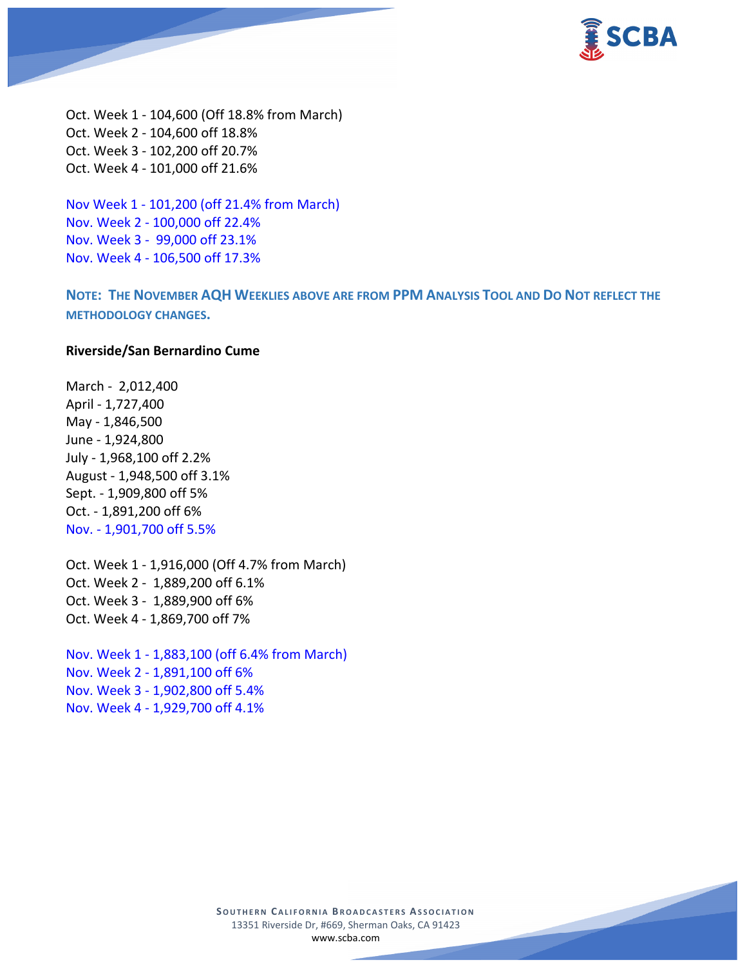

Oct. Week 1 - 104,600 (Off 18.8% from March) Oct. Week 2 - 104,600 off 18.8% Oct. Week 3 - 102,200 off 20.7% Oct. Week 4 - 101,000 off 21.6%

Nov Week 1 - 101,200 (off 21.4% from March) Nov. Week 2 - 100,000 off 22.4% Nov. Week 3 - 99,000 off 23.1% Nov. Week 4 - 106,500 off 17.3%

**NOTE: THE NOVEMBER AQH WEEKLIES ABOVE ARE FROM PPM ANALYSIS TOOL AND DO NOT REFLECT THE METHODOLOGY CHANGES.**

#### **Riverside/San Bernardino Cume**

March - 2,012,400 April - 1,727,400 May - 1,846,500 June - 1,924,800 July - 1,968,100 off 2.2% August - 1,948,500 off 3.1% Sept. - 1,909,800 off 5% Oct. - 1,891,200 off 6% Nov. - 1,901,700 off 5.5%

Oct. Week 1 - 1,916,000 (Off 4.7% from March) Oct. Week 2 - 1,889,200 off 6.1% Oct. Week 3 - 1,889,900 off 6% Oct. Week 4 - 1,869,700 off 7%

Nov. Week 1 - 1,883,100 (off 6.4% from March) Nov. Week 2 - 1,891,100 off 6% Nov. Week 3 - 1,902,800 off 5.4% Nov. Week 4 - 1,929,700 off 4.1%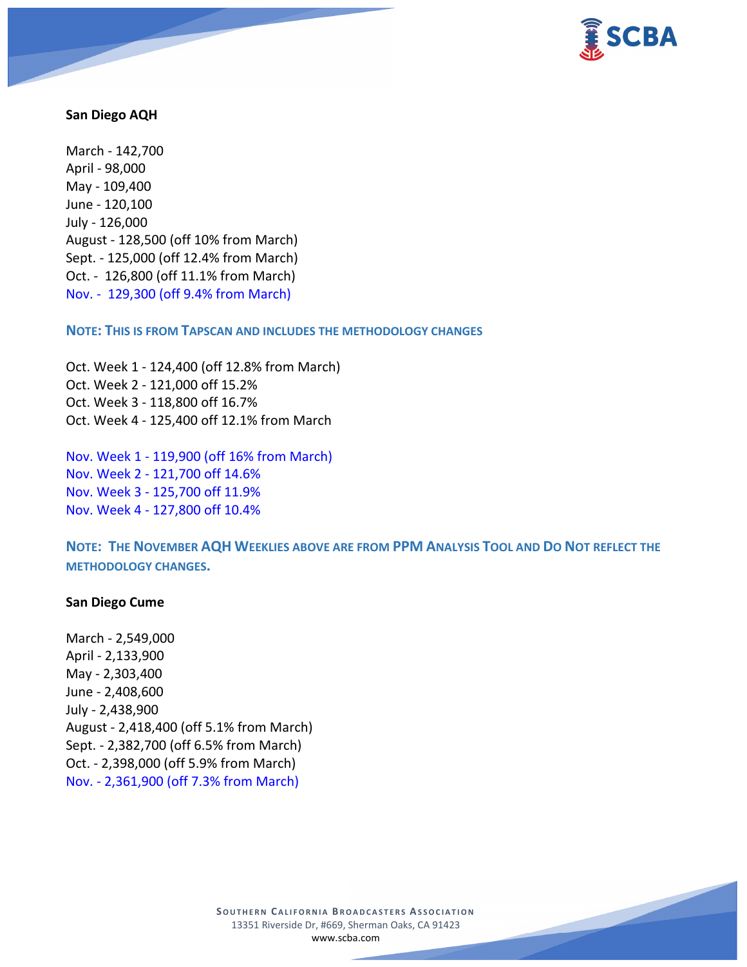

### **San Diego AQH**

March - 142,700 April - 98,000 May - 109,400 June - 120,100 July - 126,000 August - 128,500 (off 10% from March) Sept. - 125,000 (off 12.4% from March) Oct. - 126,800 (off 11.1% from March) Nov. - 129,300 (off 9.4% from March)

**NOTE: THIS IS FROM TAPSCAN AND INCLUDES THE METHODOLOGY CHANGES** 

Oct. Week 1 - 124,400 (off 12.8% from March) Oct. Week 2 - 121,000 off 15.2% Oct. Week 3 - 118,800 off 16.7% Oct. Week 4 - 125,400 off 12.1% from March

Nov. Week 1 - 119,900 (off 16% from March) Nov. Week 2 - 121,700 off 14.6% Nov. Week 3 - 125,700 off 11.9% Nov. Week 4 - 127,800 off 10.4%

**NOTE: THE NOVEMBER AQH WEEKLIES ABOVE ARE FROM PPM ANALYSIS TOOL AND DO NOT REFLECT THE METHODOLOGY CHANGES.**

### **San Diego Cume**

March - 2,549,000 April - 2,133,900 May - 2,303,400 June - 2,408,600 July - 2,438,900 August - 2,418,400 (off 5.1% from March) Sept. - 2,382,700 (off 6.5% from March) Oct. - 2,398,000 (off 5.9% from March) Nov. - 2,361,900 (off 7.3% from March)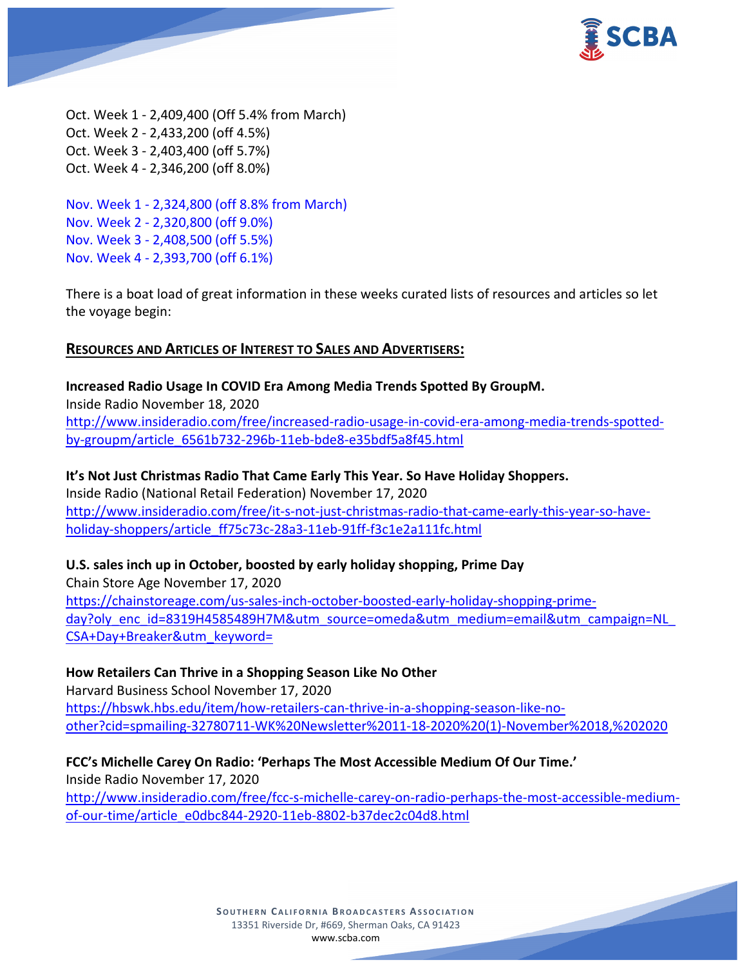

Oct. Week 1 - 2,409,400 (Off 5.4% from March) Oct. Week 2 - 2,433,200 (off 4.5%) Oct. Week 3 - 2,403,400 (off 5.7%) Oct. Week 4 - 2,346,200 (off 8.0%)

Nov. Week 1 - 2,324,800 (off 8.8% from March) Nov. Week 2 - 2,320,800 (off 9.0%) Nov. Week 3 - 2,408,500 (off 5.5%) Nov. Week 4 - 2,393,700 (off 6.1%)

There is a boat load of great information in these weeks curated lists of resources and articles so let the voyage begin:

## **RESOURCES AND ARTICLES OF INTEREST TO SALES AND ADVERTISERS:**

**Increased Radio Usage In COVID Era Among Media Trends Spotted By GroupM.** Inside Radio November 18, 2020 [http://www.insideradio.com/free/increased-radio-usage-in-covid-era-among-media-trends-spotted](http://www.insideradio.com/free/increased-radio-usage-in-covid-era-among-media-trends-spotted-by-groupm/article_6561b732-296b-11eb-bde8-e35bdf5a8f45.html)[by-groupm/article\\_6561b732-296b-11eb-bde8-e35bdf5a8f45.html](http://www.insideradio.com/free/increased-radio-usage-in-covid-era-among-media-trends-spotted-by-groupm/article_6561b732-296b-11eb-bde8-e35bdf5a8f45.html)

**It's Not Just Christmas Radio That Came Early This Year. So Have Holiday Shoppers.** Inside Radio (National Retail Federation) November 17, 2020 [http://www.insideradio.com/free/it-s-not-just-christmas-radio-that-came-early-this-year-so-have](http://www.insideradio.com/free/it-s-not-just-christmas-radio-that-came-early-this-year-so-have-holiday-shoppers/article_ff75c73c-28a3-11eb-91ff-f3c1e2a111fc.html)[holiday-shoppers/article\\_ff75c73c-28a3-11eb-91ff-f3c1e2a111fc.html](http://www.insideradio.com/free/it-s-not-just-christmas-radio-that-came-early-this-year-so-have-holiday-shoppers/article_ff75c73c-28a3-11eb-91ff-f3c1e2a111fc.html)

## **U.S. sales inch up in October, boosted by early holiday shopping, Prime Day**

Chain Store Age November 17, 2020 [https://chainstoreage.com/us-sales-inch-october-boosted-early-holiday-shopping-prime](https://chainstoreage.com/us-sales-inch-october-boosted-early-holiday-shopping-prime-day?oly_enc_id=8319H4585489H7M&utm_source=omeda&utm_medium=email&utm_campaign=NL_CSA+Day+Breaker&utm_keyword=)day?oly\_enc\_id=8319H4585489H7M&utm\_source=omeda&utm\_medium=email&utm\_campaign=NL [CSA+Day+Breaker&utm\\_keyword=](https://chainstoreage.com/us-sales-inch-october-boosted-early-holiday-shopping-prime-day?oly_enc_id=8319H4585489H7M&utm_source=omeda&utm_medium=email&utm_campaign=NL_CSA+Day+Breaker&utm_keyword=)

## **How Retailers Can Thrive in a Shopping Season Like No Other**

Harvard Business School November 17, 2020 [https://hbswk.hbs.edu/item/how-retailers-can-thrive-in-a-shopping-season-like-no](https://hbswk.hbs.edu/item/how-retailers-can-thrive-in-a-shopping-season-like-no-other?cid=spmailing-32780711-WK%20Newsletter%2011-18-2020%20(1)-November%2018,%202020)[other?cid=spmailing-32780711-WK%20Newsletter%2011-18-2020%20\(1\)-November%2018,%202020](https://hbswk.hbs.edu/item/how-retailers-can-thrive-in-a-shopping-season-like-no-other?cid=spmailing-32780711-WK%20Newsletter%2011-18-2020%20(1)-November%2018,%202020)

**FCC's Michelle Carey On Radio: 'Perhaps The Most Accessible Medium Of Our Time.'** Inside Radio November 17, 2020

[http://www.insideradio.com/free/fcc-s-michelle-carey-on-radio-perhaps-the-most-accessible-medium](http://www.insideradio.com/free/fcc-s-michelle-carey-on-radio-perhaps-the-most-accessible-medium-of-our-time/article_e0dbc844-2920-11eb-8802-b37dec2c04d8.html)[of-our-time/article\\_e0dbc844-2920-11eb-8802-b37dec2c04d8.html](http://www.insideradio.com/free/fcc-s-michelle-carey-on-radio-perhaps-the-most-accessible-medium-of-our-time/article_e0dbc844-2920-11eb-8802-b37dec2c04d8.html)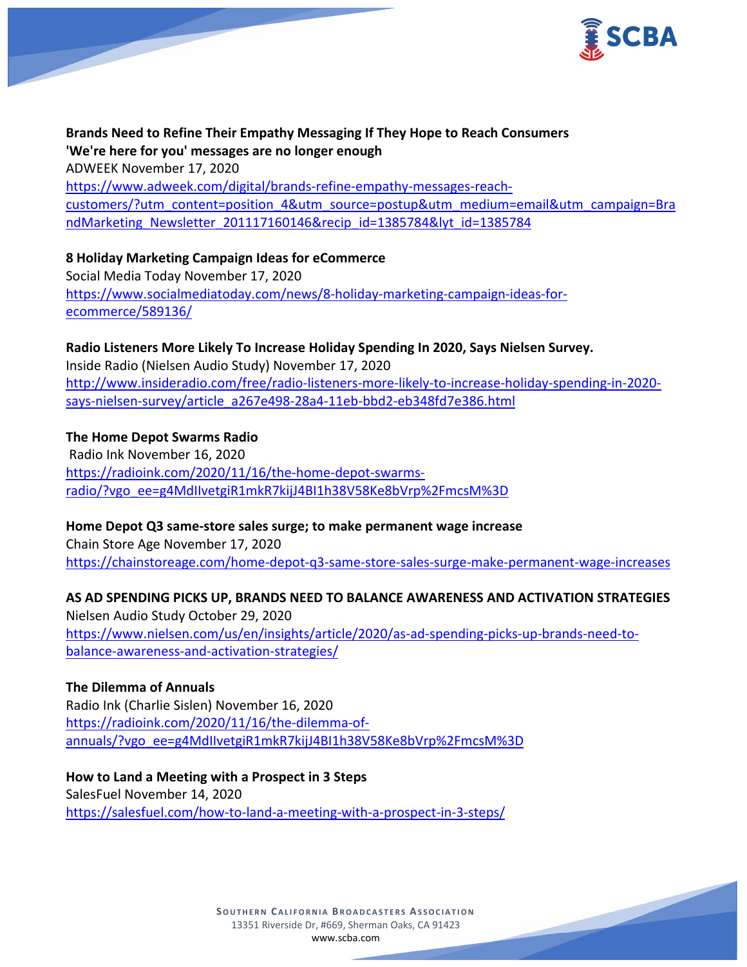

**Brands Need to Refine Their Empathy Messaging If They Hope to Reach Consumers 'We're here for you' messages are no longer enough** ADWEEK November 17, 2020 [https://www.adweek.com/digital/brands-refine-empathy-messages-reach](https://www.adweek.com/digital/brands-refine-empathy-messages-reach-customers/?utm_content=position_4&utm_source=postup&utm_medium=email&utm_campaign=BrandMarketing_Newsletter_201117160146&recip_id=1385784&lyt_id=1385784)[customers/?utm\\_content=position\\_4&utm\\_source=postup&utm\\_medium=email&utm\\_campaign=Bra](https://www.adweek.com/digital/brands-refine-empathy-messages-reach-customers/?utm_content=position_4&utm_source=postup&utm_medium=email&utm_campaign=BrandMarketing_Newsletter_201117160146&recip_id=1385784&lyt_id=1385784) [ndMarketing\\_Newsletter\\_201117160146&recip\\_id=1385784&lyt\\_id=1385784](https://www.adweek.com/digital/brands-refine-empathy-messages-reach-customers/?utm_content=position_4&utm_source=postup&utm_medium=email&utm_campaign=BrandMarketing_Newsletter_201117160146&recip_id=1385784&lyt_id=1385784)

## **8 Holiday Marketing Campaign Ideas for eCommerce**

Social Media Today November 17, 2020 [https://www.socialmediatoday.com/news/8-holiday-marketing-campaign-ideas-for](https://www.socialmediatoday.com/news/8-holiday-marketing-campaign-ideas-for-ecommerce/589136/)[ecommerce/589136/](https://www.socialmediatoday.com/news/8-holiday-marketing-campaign-ideas-for-ecommerce/589136/)

**Radio Listeners More Likely To Increase Holiday Spending In 2020, Says Nielsen Survey.** Inside Radio (Nielsen Audio Study) November 17, 2020 [http://www.insideradio.com/free/radio-listeners-more-likely-to-increase-holiday-spending-in-2020](http://www.insideradio.com/free/radio-listeners-more-likely-to-increase-holiday-spending-in-2020-says-nielsen-survey/article_a267e498-28a4-11eb-bbd2-eb348fd7e386.html) [says-nielsen-survey/article\\_a267e498-28a4-11eb-bbd2-eb348fd7e386.html](http://www.insideradio.com/free/radio-listeners-more-likely-to-increase-holiday-spending-in-2020-says-nielsen-survey/article_a267e498-28a4-11eb-bbd2-eb348fd7e386.html)

**The Home Depot Swarms Radio** Radio Ink November 16, 2020 [https://radioink.com/2020/11/16/the-home-depot-swarms](https://radioink.com/2020/11/16/the-home-depot-swarms-radio/?vgo_ee=g4MdIIvetgiR1mkR7kijJ4BI1h38V58Ke8bVrp%2FmcsM%3D)[radio/?vgo\\_ee=g4MdIIvetgiR1mkR7kijJ4BI1h38V58Ke8bVrp%2FmcsM%3D](https://radioink.com/2020/11/16/the-home-depot-swarms-radio/?vgo_ee=g4MdIIvetgiR1mkR7kijJ4BI1h38V58Ke8bVrp%2FmcsM%3D)

**Home Depot Q3 same-store sales surge; to make permanent wage increase**

Chain Store Age November 17, 2020 <https://chainstoreage.com/home-depot-q3-same-store-sales-surge-make-permanent-wage-increases>

**AS AD SPENDING PICKS UP, BRANDS NEED TO BALANCE AWARENESS AND ACTIVATION STRATEGIES**

Nielsen Audio Study October 29, 2020 [https://www.nielsen.com/us/en/insights/article/2020/as-ad-spending-picks-up-brands-need-to](https://www.nielsen.com/us/en/insights/article/2020/as-ad-spending-picks-up-brands-need-to-balance-awareness-and-activation-strategies/)[balance-awareness-and-activation-strategies/](https://www.nielsen.com/us/en/insights/article/2020/as-ad-spending-picks-up-brands-need-to-balance-awareness-and-activation-strategies/)

**The Dilemma of Annuals** Radio Ink (Charlie Sislen) November 16, 2020 [https://radioink.com/2020/11/16/the-dilemma-of](https://radioink.com/2020/11/16/the-dilemma-of-annuals/?vgo_ee=g4MdIIvetgiR1mkR7kijJ4BI1h38V58Ke8bVrp%2FmcsM%3D)[annuals/?vgo\\_ee=g4MdIIvetgiR1mkR7kijJ4BI1h38V58Ke8bVrp%2FmcsM%3D](https://radioink.com/2020/11/16/the-dilemma-of-annuals/?vgo_ee=g4MdIIvetgiR1mkR7kijJ4BI1h38V58Ke8bVrp%2FmcsM%3D)

**How to Land a Meeting with a Prospect in 3 Steps** SalesFuel November 14, 2020 <https://salesfuel.com/how-to-land-a-meeting-with-a-prospect-in-3-steps/>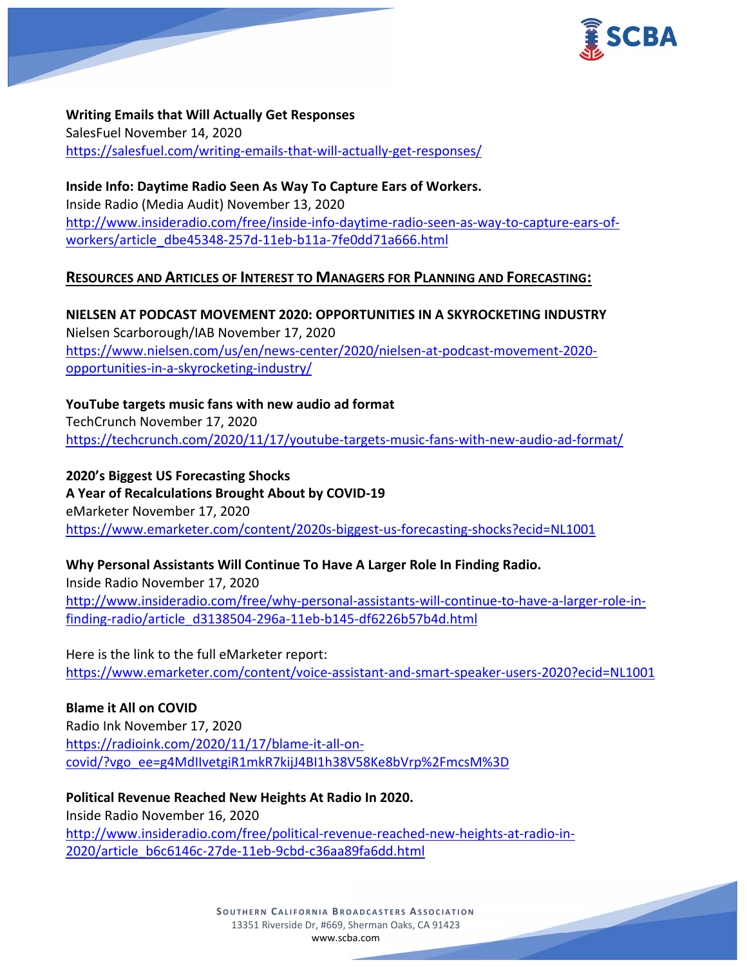

**Writing Emails that Will Actually Get Responses** SalesFuel November 14, 2020 <https://salesfuel.com/writing-emails-that-will-actually-get-responses/>

**Inside Info: Daytime Radio Seen As Way To Capture Ears of Workers.** Inside Radio (Media Audit) November 13, 2020 [http://www.insideradio.com/free/inside-info-daytime-radio-seen-as-way-to-capture-ears-of](http://www.insideradio.com/free/inside-info-daytime-radio-seen-as-way-to-capture-ears-of-workers/article_dbe45348-257d-11eb-b11a-7fe0dd71a666.html)[workers/article\\_dbe45348-257d-11eb-b11a-7fe0dd71a666.html](http://www.insideradio.com/free/inside-info-daytime-radio-seen-as-way-to-capture-ears-of-workers/article_dbe45348-257d-11eb-b11a-7fe0dd71a666.html)

# **RESOURCES AND ARTICLES OF INTEREST TO MANAGERS FOR PLANNING AND FORECASTING:**

**NIELSEN AT PODCAST MOVEMENT 2020: OPPORTUNITIES IN A SKYROCKETING INDUSTRY** Nielsen Scarborough/IAB November 17, 2020 [https://www.nielsen.com/us/en/news-center/2020/nielsen-at-podcast-movement-2020](https://www.nielsen.com/us/en/news-center/2020/nielsen-at-podcast-movement-2020-opportunities-in-a-skyrocketing-industry/) [opportunities-in-a-skyrocketing-industry/](https://www.nielsen.com/us/en/news-center/2020/nielsen-at-podcast-movement-2020-opportunities-in-a-skyrocketing-industry/)

**YouTube targets music fans with new audio ad format** TechCrunch November 17, 2020 <https://techcrunch.com/2020/11/17/youtube-targets-music-fans-with-new-audio-ad-format/>

**2020's Biggest US Forecasting Shocks A Year of Recalculations Brought About by COVID-19** eMarketer November 17, 2020 <https://www.emarketer.com/content/2020s-biggest-us-forecasting-shocks?ecid=NL1001>

# **Why Personal Assistants Will Continue To Have A Larger Role In Finding Radio.**

Inside Radio November 17, 2020 [http://www.insideradio.com/free/why-personal-assistants-will-continue-to-have-a-larger-role-in](http://www.insideradio.com/free/why-personal-assistants-will-continue-to-have-a-larger-role-in-finding-radio/article_d3138504-296a-11eb-b145-df6226b57b4d.html)[finding-radio/article\\_d3138504-296a-11eb-b145-df6226b57b4d.html](http://www.insideradio.com/free/why-personal-assistants-will-continue-to-have-a-larger-role-in-finding-radio/article_d3138504-296a-11eb-b145-df6226b57b4d.html)

Here is the link to the full eMarketer report: <https://www.emarketer.com/content/voice-assistant-and-smart-speaker-users-2020?ecid=NL1001>

**Blame it All on COVID** Radio Ink November 17, 2020 [https://radioink.com/2020/11/17/blame-it-all-on](https://radioink.com/2020/11/17/blame-it-all-on-covid/?vgo_ee=g4MdIIvetgiR1mkR7kijJ4BI1h38V58Ke8bVrp%2FmcsM%3D)[covid/?vgo\\_ee=g4MdIIvetgiR1mkR7kijJ4BI1h38V58Ke8bVrp%2FmcsM%3D](https://radioink.com/2020/11/17/blame-it-all-on-covid/?vgo_ee=g4MdIIvetgiR1mkR7kijJ4BI1h38V58Ke8bVrp%2FmcsM%3D)

**Political Revenue Reached New Heights At Radio In 2020.** Inside Radio November 16, 2020 [http://www.insideradio.com/free/political-revenue-reached-new-heights-at-radio-in-](http://www.insideradio.com/free/political-revenue-reached-new-heights-at-radio-in-2020/article_b6c6146c-27de-11eb-9cbd-c36aa89fa6dd.html)[2020/article\\_b6c6146c-27de-11eb-9cbd-c36aa89fa6dd.html](http://www.insideradio.com/free/political-revenue-reached-new-heights-at-radio-in-2020/article_b6c6146c-27de-11eb-9cbd-c36aa89fa6dd.html)

> **SOUTHERN CALIFORNIA BROADCASTERS ASSOCIATION** 13351 Riverside Dr, #669, Sherman Oaks, CA 91423 [www.scba.com](http://www.scba.com/)